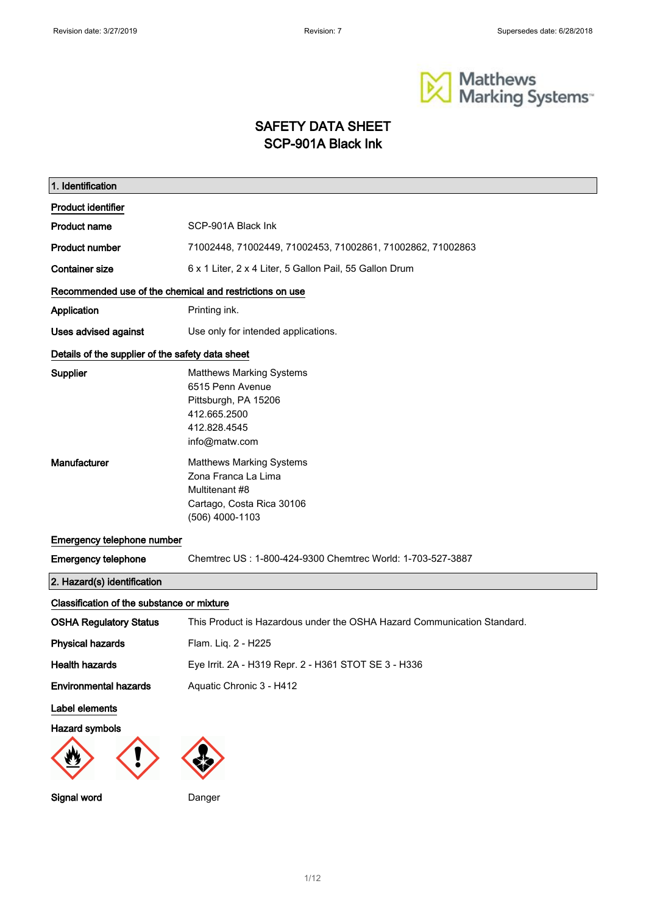

# SAFETY DATA SHEET SCP-901A Black Ink

| 1. Identification                                       |                                                                                                                              |  |
|---------------------------------------------------------|------------------------------------------------------------------------------------------------------------------------------|--|
| <b>Product identifier</b>                               |                                                                                                                              |  |
| <b>Product name</b>                                     | SCP-901A Black Ink                                                                                                           |  |
| <b>Product number</b>                                   | 71002448, 71002449, 71002453, 71002861, 71002862, 71002863                                                                   |  |
| <b>Container size</b>                                   | 6 x 1 Liter, 2 x 4 Liter, 5 Gallon Pail, 55 Gallon Drum                                                                      |  |
| Recommended use of the chemical and restrictions on use |                                                                                                                              |  |
| Application                                             | Printing ink.                                                                                                                |  |
| Uses advised against                                    | Use only for intended applications.                                                                                          |  |
| Details of the supplier of the safety data sheet        |                                                                                                                              |  |
| <b>Supplier</b>                                         | <b>Matthews Marking Systems</b><br>6515 Penn Avenue<br>Pittsburgh, PA 15206<br>412.665.2500<br>412.828.4545<br>info@matw.com |  |
| Manufacturer                                            | <b>Matthews Marking Systems</b><br>Zona Franca La Lima<br>Multitenant #8<br>Cartago, Costa Rica 30106<br>(506) 4000-1103     |  |
| Emergency telephone number                              |                                                                                                                              |  |
| <b>Emergency telephone</b>                              | Chemtrec US: 1-800-424-9300 Chemtrec World: 1-703-527-3887                                                                   |  |
| 2. Hazard(s) identification                             |                                                                                                                              |  |
| Classification of the substance or mixture              |                                                                                                                              |  |
| <b>OSHA Regulatory Status</b>                           | This Product is Hazardous under the OSHA Hazard Communication Standard.                                                      |  |
| <b>Physical hazards</b>                                 | Flam. Liq. 2 - H225                                                                                                          |  |
| <b>Health hazards</b>                                   | Eye Irrit. 2A - H319 Repr. 2 - H361 STOT SE 3 - H336                                                                         |  |
| <b>Environmental hazards</b>                            | Aquatic Chronic 3 - H412                                                                                                     |  |
| Label elements                                          |                                                                                                                              |  |
| <b>Hazard symbols</b>                                   |                                                                                                                              |  |
|                                                         |                                                                                                                              |  |
| Signal word                                             | Danger                                                                                                                       |  |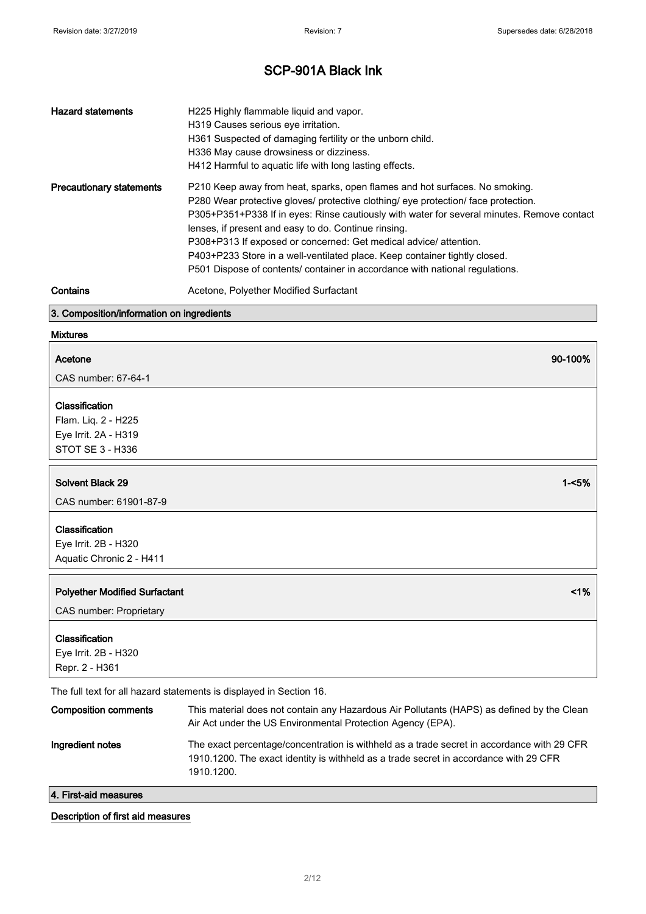| <b>Hazard statements</b>                  | H225 Highly flammable liquid and vapor.<br>H319 Causes serious eye irritation.<br>H361 Suspected of damaging fertility or the unborn child.<br>H336 May cause drowsiness or dizziness.<br>H412 Harmful to aquatic life with long lasting effects.                                                                                                                                                                                                                                                                                                          |  |
|-------------------------------------------|------------------------------------------------------------------------------------------------------------------------------------------------------------------------------------------------------------------------------------------------------------------------------------------------------------------------------------------------------------------------------------------------------------------------------------------------------------------------------------------------------------------------------------------------------------|--|
| <b>Precautionary statements</b>           | P210 Keep away from heat, sparks, open flames and hot surfaces. No smoking.<br>P280 Wear protective gloves/ protective clothing/ eye protection/ face protection.<br>P305+P351+P338 If in eyes: Rinse cautiously with water for several minutes. Remove contact<br>lenses, if present and easy to do. Continue rinsing.<br>P308+P313 If exposed or concerned: Get medical advice/ attention.<br>P403+P233 Store in a well-ventilated place. Keep container tightly closed.<br>P501 Dispose of contents/ container in accordance with national regulations. |  |
| Contains                                  | Acetone, Polyether Modified Surfactant                                                                                                                                                                                                                                                                                                                                                                                                                                                                                                                     |  |
| 3. Composition/information on ingredients |                                                                                                                                                                                                                                                                                                                                                                                                                                                                                                                                                            |  |
| <b>Mixtures</b>                           |                                                                                                                                                                                                                                                                                                                                                                                                                                                                                                                                                            |  |

# Acetone 90-100%

CAS number: 67-64-1

#### **Classification**

Flam. Liq. 2 - H225 Eye Irrit. 2A - H319 STOT SE 3 - H336

#### Solvent Black 29 1-<5%

CAS number: 61901-87-9

#### Classification

Eye Irrit. 2B - H320 Aquatic Chronic 2 - H411

| <b>Polyether Modified Surfactant</b>                                                                      | 1% |
|-----------------------------------------------------------------------------------------------------------|----|
| CAS number: Proprietary                                                                                   |    |
| Classification                                                                                            |    |
| Eye Irrit. 2B - H320<br>Repr. 2 - H361                                                                    |    |
| The contract of the collaboration of the contract of the state of the $\Omega$ -collaboration of $\Omega$ |    |

The full text for all hazard statements is displayed in Section 16.

| <b>Composition comments</b> | This material does not contain any Hazardous Air Pollutants (HAPS) as defined by the Clean<br>Air Act under the US Environmental Protection Agency (EPA).                                         |
|-----------------------------|---------------------------------------------------------------------------------------------------------------------------------------------------------------------------------------------------|
| Ingredient notes            | The exact percentage/concentration is withheld as a trade secret in accordance with 29 CFR<br>1910.1200. The exact identity is withheld as a trade secret in accordance with 29 CFR<br>1910.1200. |

#### 4. First-aid measures

#### Description of first aid measures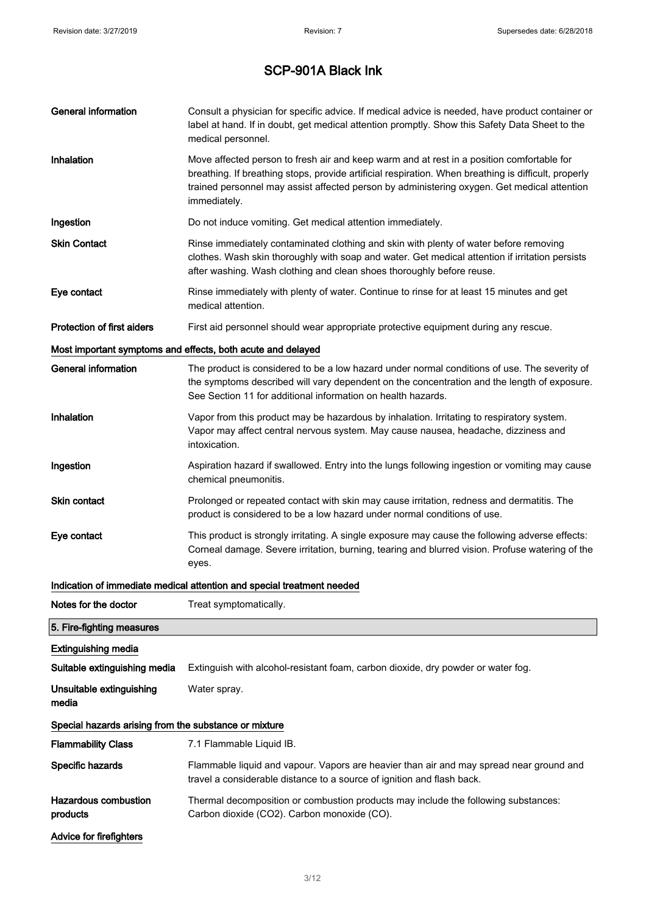| General information                                   | Consult a physician for specific advice. If medical advice is needed, have product container or<br>label at hand. If in doubt, get medical attention promptly. Show this Safety Data Sheet to the<br>medical personnel.                                                                                          |  |
|-------------------------------------------------------|------------------------------------------------------------------------------------------------------------------------------------------------------------------------------------------------------------------------------------------------------------------------------------------------------------------|--|
| Inhalation                                            | Move affected person to fresh air and keep warm and at rest in a position comfortable for<br>breathing. If breathing stops, provide artificial respiration. When breathing is difficult, properly<br>trained personnel may assist affected person by administering oxygen. Get medical attention<br>immediately. |  |
| Ingestion                                             | Do not induce vomiting. Get medical attention immediately.                                                                                                                                                                                                                                                       |  |
| <b>Skin Contact</b>                                   | Rinse immediately contaminated clothing and skin with plenty of water before removing<br>clothes. Wash skin thoroughly with soap and water. Get medical attention if irritation persists<br>after washing. Wash clothing and clean shoes thoroughly before reuse.                                                |  |
| Eye contact                                           | Rinse immediately with plenty of water. Continue to rinse for at least 15 minutes and get<br>medical attention.                                                                                                                                                                                                  |  |
| <b>Protection of first aiders</b>                     | First aid personnel should wear appropriate protective equipment during any rescue.                                                                                                                                                                                                                              |  |
|                                                       | Most important symptoms and effects, both acute and delayed                                                                                                                                                                                                                                                      |  |
| <b>General information</b>                            | The product is considered to be a low hazard under normal conditions of use. The severity of<br>the symptoms described will vary dependent on the concentration and the length of exposure.<br>See Section 11 for additional information on health hazards.                                                      |  |
| Inhalation                                            | Vapor from this product may be hazardous by inhalation. Irritating to respiratory system.<br>Vapor may affect central nervous system. May cause nausea, headache, dizziness and<br>intoxication.                                                                                                                 |  |
| Ingestion                                             | Aspiration hazard if swallowed. Entry into the lungs following ingestion or vomiting may cause<br>chemical pneumonitis.                                                                                                                                                                                          |  |
| <b>Skin contact</b>                                   | Prolonged or repeated contact with skin may cause irritation, redness and dermatitis. The<br>product is considered to be a low hazard under normal conditions of use.                                                                                                                                            |  |
| Eye contact                                           | This product is strongly irritating. A single exposure may cause the following adverse effects:<br>Corneal damage. Severe irritation, burning, tearing and blurred vision. Profuse watering of the<br>eyes.                                                                                                      |  |
|                                                       | Indication of immediate medical attention and special treatment needed                                                                                                                                                                                                                                           |  |
| Notes for the doctor                                  | Treat symptomatically.                                                                                                                                                                                                                                                                                           |  |
| 5. Fire-fighting measures                             |                                                                                                                                                                                                                                                                                                                  |  |
| <b>Extinguishing media</b>                            |                                                                                                                                                                                                                                                                                                                  |  |
| Suitable extinguishing media                          | Extinguish with alcohol-resistant foam, carbon dioxide, dry powder or water fog.                                                                                                                                                                                                                                 |  |
| Unsuitable extinguishing<br>media                     | Water spray.                                                                                                                                                                                                                                                                                                     |  |
| Special hazards arising from the substance or mixture |                                                                                                                                                                                                                                                                                                                  |  |
| <b>Flammability Class</b>                             | 7.1 Flammable Liquid IB.                                                                                                                                                                                                                                                                                         |  |
| Specific hazards                                      | Flammable liquid and vapour. Vapors are heavier than air and may spread near ground and<br>travel a considerable distance to a source of ignition and flash back.                                                                                                                                                |  |
| <b>Hazardous combustion</b><br>products               | Thermal decomposition or combustion products may include the following substances:<br>Carbon dioxide (CO2). Carbon monoxide (CO).                                                                                                                                                                                |  |
| Advice for firefighters                               |                                                                                                                                                                                                                                                                                                                  |  |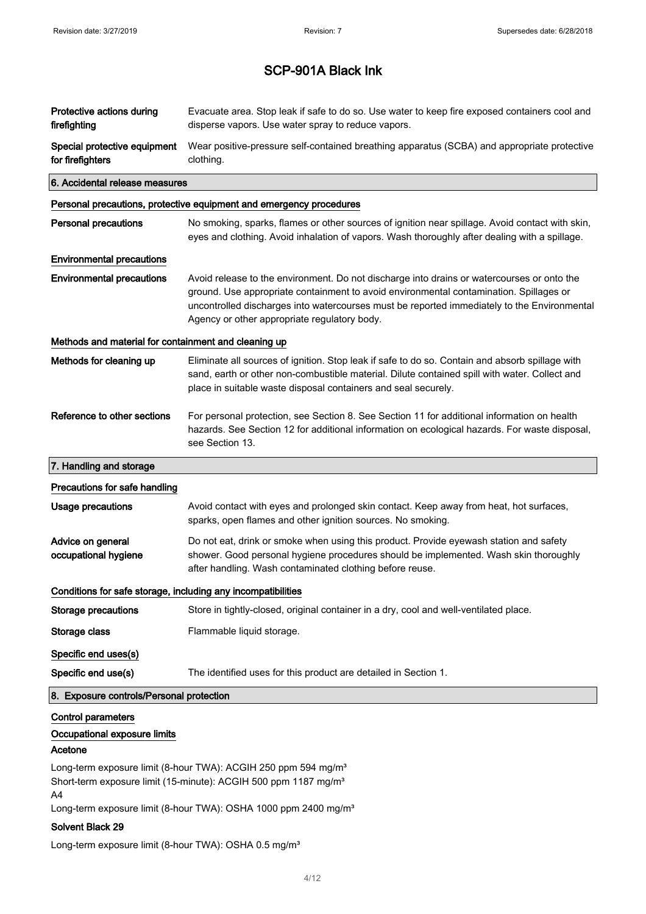| Protective actions during<br>firefighting                    | Evacuate area. Stop leak if safe to do so. Use water to keep fire exposed containers cool and<br>disperse vapors. Use water spray to reduce vapors.                                                                                                                                                                                 |  |
|--------------------------------------------------------------|-------------------------------------------------------------------------------------------------------------------------------------------------------------------------------------------------------------------------------------------------------------------------------------------------------------------------------------|--|
| Special protective equipment<br>for firefighters             | Wear positive-pressure self-contained breathing apparatus (SCBA) and appropriate protective<br>clothing.                                                                                                                                                                                                                            |  |
| 6. Accidental release measures                               |                                                                                                                                                                                                                                                                                                                                     |  |
|                                                              | Personal precautions, protective equipment and emergency procedures                                                                                                                                                                                                                                                                 |  |
| <b>Personal precautions</b>                                  | No smoking, sparks, flames or other sources of ignition near spillage. Avoid contact with skin,<br>eyes and clothing. Avoid inhalation of vapors. Wash thoroughly after dealing with a spillage.                                                                                                                                    |  |
| <b>Environmental precautions</b>                             |                                                                                                                                                                                                                                                                                                                                     |  |
| <b>Environmental precautions</b>                             | Avoid release to the environment. Do not discharge into drains or watercourses or onto the<br>ground. Use appropriate containment to avoid environmental contamination. Spillages or<br>uncontrolled discharges into watercourses must be reported immediately to the Environmental<br>Agency or other appropriate regulatory body. |  |
| Methods and material for containment and cleaning up         |                                                                                                                                                                                                                                                                                                                                     |  |
| Methods for cleaning up                                      | Eliminate all sources of ignition. Stop leak if safe to do so. Contain and absorb spillage with<br>sand, earth or other non-combustible material. Dilute contained spill with water. Collect and<br>place in suitable waste disposal containers and seal securely.                                                                  |  |
| Reference to other sections                                  | For personal protection, see Section 8. See Section 11 for additional information on health<br>hazards. See Section 12 for additional information on ecological hazards. For waste disposal,<br>see Section 13.                                                                                                                     |  |
| 7. Handling and storage                                      |                                                                                                                                                                                                                                                                                                                                     |  |
| Precautions for safe handling                                |                                                                                                                                                                                                                                                                                                                                     |  |
| <b>Usage precautions</b>                                     | Avoid contact with eyes and prolonged skin contact. Keep away from heat, hot surfaces,<br>sparks, open flames and other ignition sources. No smoking.                                                                                                                                                                               |  |
| Advice on general<br>occupational hygiene                    | Do not eat, drink or smoke when using this product. Provide eyewash station and safety<br>shower. Good personal hygiene procedures should be implemented. Wash skin thoroughly<br>after handling. Wash contaminated clothing before reuse.                                                                                          |  |
| Conditions for safe storage, including any incompatibilities |                                                                                                                                                                                                                                                                                                                                     |  |
| <b>Storage precautions</b>                                   | Store in tightly-closed, original container in a dry, cool and well-ventilated place.                                                                                                                                                                                                                                               |  |
| Storage class                                                | Flammable liquid storage.                                                                                                                                                                                                                                                                                                           |  |
| Specific end uses(s)                                         |                                                                                                                                                                                                                                                                                                                                     |  |
| Specific end use(s)                                          | The identified uses for this product are detailed in Section 1.                                                                                                                                                                                                                                                                     |  |
| 8. Exposure controls/Personal protection                     |                                                                                                                                                                                                                                                                                                                                     |  |
| <b>Control parameters</b>                                    |                                                                                                                                                                                                                                                                                                                                     |  |

### Occupational exposure limits

#### Acetone

Long-term exposure limit (8-hour TWA): ACGIH 250 ppm 594 mg/m<sup>3</sup> Short-term exposure limit (15-minute): ACGIH 500 ppm 1187 mg/m<sup>3</sup> A4

Long-term exposure limit (8-hour TWA): OSHA 1000 ppm 2400 mg/m<sup>3</sup>

#### Solvent Black 29

Long-term exposure limit (8-hour TWA): OSHA 0.5 mg/m<sup>3</sup>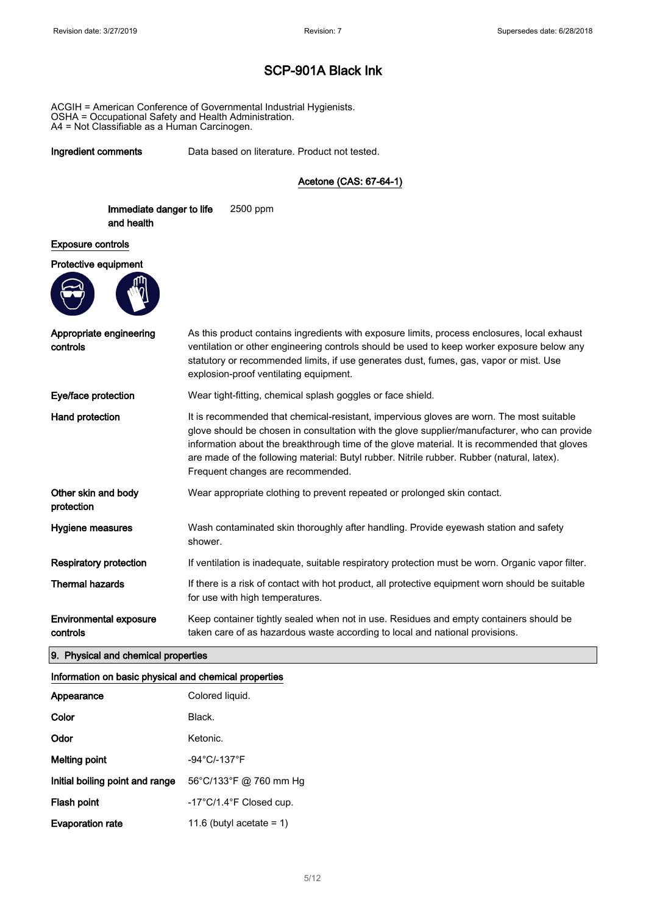ACGIH = American Conference of Governmental Industrial Hygienists. OSHA = Occupational Safety and Health Administration. A4 = Not Classifiable as a Human Carcinogen.

Ingredient comments Data based on literature. Product not tested.

Acetone (CAS: 67-64-1)

Immediate danger to life and health 2500 ppm

#### Exposure controls

#### Protective equipment



| Appropriate engineering<br>controls       | As this product contains ingredients with exposure limits, process enclosures, local exhaust<br>ventilation or other engineering controls should be used to keep worker exposure below any<br>statutory or recommended limits, if use generates dust, fumes, gas, vapor or mist. Use<br>explosion-proof ventilating equipment.                                                                                              |
|-------------------------------------------|-----------------------------------------------------------------------------------------------------------------------------------------------------------------------------------------------------------------------------------------------------------------------------------------------------------------------------------------------------------------------------------------------------------------------------|
| Eye/face protection                       | Wear tight-fitting, chemical splash goggles or face shield.                                                                                                                                                                                                                                                                                                                                                                 |
| Hand protection                           | It is recommended that chemical-resistant, impervious gloves are worn. The most suitable<br>glove should be chosen in consultation with the glove supplier/manufacturer, who can provide<br>information about the breakthrough time of the glove material. It is recommended that gloves<br>are made of the following material: Butyl rubber. Nitrile rubber. Rubber (natural, latex).<br>Frequent changes are recommended. |
| Other skin and body<br>protection         | Wear appropriate clothing to prevent repeated or prolonged skin contact.                                                                                                                                                                                                                                                                                                                                                    |
| Hygiene measures                          | Wash contaminated skin thoroughly after handling. Provide eyewash station and safety<br>shower.                                                                                                                                                                                                                                                                                                                             |
| <b>Respiratory protection</b>             | If ventilation is inadequate, suitable respiratory protection must be worn. Organic vapor filter.                                                                                                                                                                                                                                                                                                                           |
| <b>Thermal hazards</b>                    | If there is a risk of contact with hot product, all protective equipment worn should be suitable<br>for use with high temperatures.                                                                                                                                                                                                                                                                                         |
| <b>Environmental exposure</b><br>controls | Keep container tightly sealed when not in use. Residues and empty containers should be<br>taken care of as hazardous waste according to local and national provisions.                                                                                                                                                                                                                                                      |

#### 9. Physical and chemical properties

#### Information on basic physical and chemical properties

| Appearance                      | Colored liquid.                              |
|---------------------------------|----------------------------------------------|
| Color                           | Black.                                       |
| Odor                            | Ketonic.                                     |
| Melting point                   | -94°C/-137°F                                 |
| Initial boiling point and range | 56°C/133°F @ 760 mm Hg                       |
| Flash point                     | $-17^{\circ}$ C/1.4 $^{\circ}$ F Closed cup. |
| <b>Evaporation rate</b>         | 11.6 (butyl acetate = 1)                     |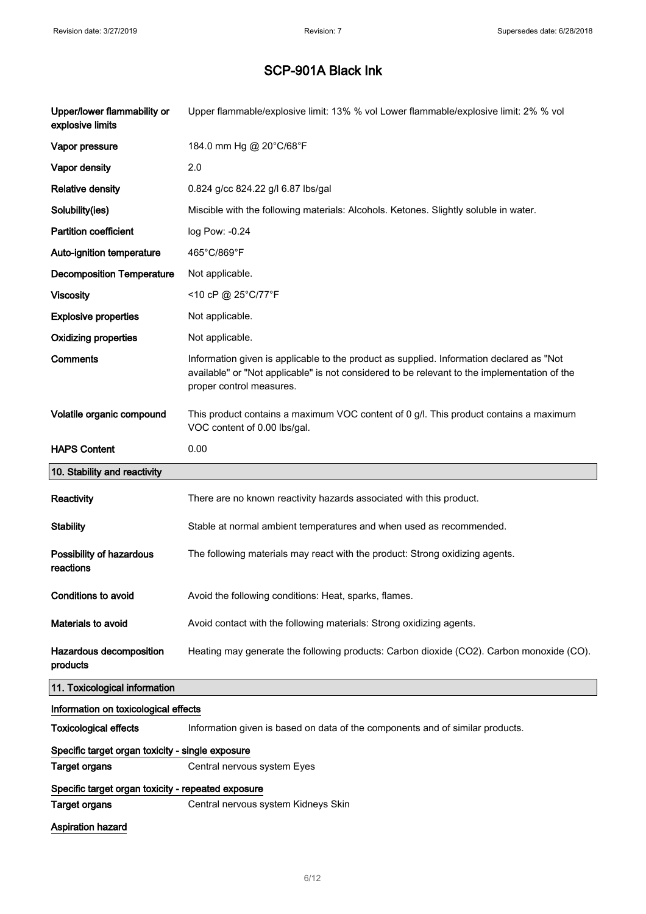| Upper/lower flammability or<br>explosive limits    | Upper flammable/explosive limit: 13% % vol Lower flammable/explosive limit: 2% % vol                                                                                                                                 |
|----------------------------------------------------|----------------------------------------------------------------------------------------------------------------------------------------------------------------------------------------------------------------------|
| Vapor pressure                                     | 184.0 mm Hg @ 20°C/68°F                                                                                                                                                                                              |
| Vapor density                                      | 2.0                                                                                                                                                                                                                  |
| <b>Relative density</b>                            | 0.824 g/cc 824.22 g/l 6.87 lbs/gal                                                                                                                                                                                   |
| Solubility(ies)                                    | Miscible with the following materials: Alcohols. Ketones. Slightly soluble in water.                                                                                                                                 |
| <b>Partition coefficient</b>                       | log Pow: -0.24                                                                                                                                                                                                       |
| Auto-ignition temperature                          | 465°C/869°F                                                                                                                                                                                                          |
| <b>Decomposition Temperature</b>                   | Not applicable.                                                                                                                                                                                                      |
| <b>Viscosity</b>                                   | <10 cP @ 25°C/77°F                                                                                                                                                                                                   |
| <b>Explosive properties</b>                        | Not applicable.                                                                                                                                                                                                      |
| <b>Oxidizing properties</b>                        | Not applicable.                                                                                                                                                                                                      |
| <b>Comments</b>                                    | Information given is applicable to the product as supplied. Information declared as "Not<br>available" or "Not applicable" is not considered to be relevant to the implementation of the<br>proper control measures. |
| Volatile organic compound                          | This product contains a maximum VOC content of 0 g/l. This product contains a maximum<br>VOC content of 0.00 lbs/gal.                                                                                                |
| <b>HAPS Content</b>                                | 0.00                                                                                                                                                                                                                 |
| 10. Stability and reactivity                       |                                                                                                                                                                                                                      |
|                                                    |                                                                                                                                                                                                                      |
| Reactivity                                         | There are no known reactivity hazards associated with this product.                                                                                                                                                  |
| <b>Stability</b>                                   | Stable at normal ambient temperatures and when used as recommended.                                                                                                                                                  |
| Possibility of hazardous<br>reactions              | The following materials may react with the product: Strong oxidizing agents.                                                                                                                                         |
| Conditions to avoid                                | Avoid the following conditions: Heat, sparks, flames.                                                                                                                                                                |
| Materials to avoid                                 | Avoid contact with the following materials: Strong oxidizing agents.                                                                                                                                                 |
| Hazardous decomposition<br>products                | Heating may generate the following products: Carbon dioxide (CO2). Carbon monoxide (CO).                                                                                                                             |
| 11. Toxicological information                      |                                                                                                                                                                                                                      |
| Information on toxicological effects               |                                                                                                                                                                                                                      |
| <b>Toxicological effects</b>                       | Information given is based on data of the components and of similar products.                                                                                                                                        |
| Specific target organ toxicity - single exposure   |                                                                                                                                                                                                                      |
| <b>Target organs</b>                               | Central nervous system Eyes                                                                                                                                                                                          |
| Specific target organ toxicity - repeated exposure |                                                                                                                                                                                                                      |
| Target organs<br>Aspiration hazard                 | Central nervous system Kidneys Skin                                                                                                                                                                                  |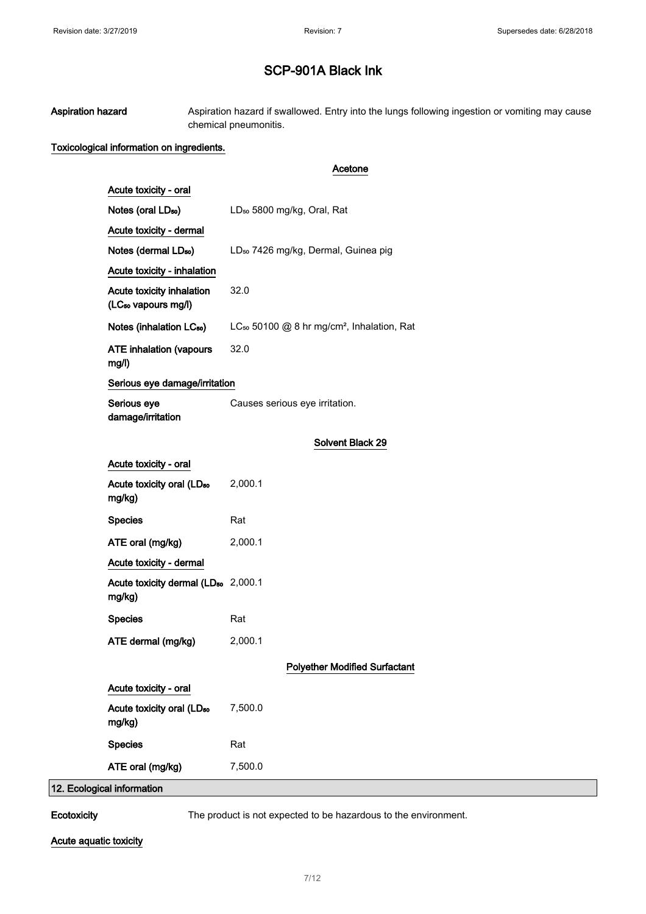Aspiration hazard **Aspiration hazard if swallowed.** Entry into the lungs following ingestion or vomiting may cause chemical pneumonitis.

#### Toxicological information on ingredients.

#### Acetone

| Acute toxicity - oral                                        |                                                                    |
|--------------------------------------------------------------|--------------------------------------------------------------------|
| Notes (oral LD <sub>50</sub> )                               | LD <sub>50</sub> 5800 mg/kg, Oral, Rat                             |
| Acute toxicity - dermal                                      |                                                                    |
| Notes (dermal LD <sub>50</sub> )                             | LD <sub>50</sub> 7426 mg/kg, Dermal, Guinea pig                    |
| Acute toxicity - inhalation                                  |                                                                    |
| Acute toxicity inhalation<br>(LC <sub>50</sub> vapours mg/l) | 32.0                                                               |
| Notes (inhalation LC <sub>50</sub> )                         | LC <sub>50</sub> 50100 @ 8 hr mg/cm <sup>2</sup> , Inhalation, Rat |
| <b>ATE inhalation (vapours</b><br>mg/l)                      | 32.0                                                               |
| Serious eye damage/irritation                                |                                                                    |
| Serious eye<br>damage/irritation                             | Causes serious eye irritation.                                     |
|                                                              | <b>Solvent Black 29</b>                                            |
| Acute toxicity - oral                                        |                                                                    |
| Acute toxicity oral (LD <sub>50</sub><br>mg/kg)              | 2,000.1                                                            |
| <b>Species</b>                                               | Rat                                                                |
| ATE oral (mg/kg)                                             | 2,000.1                                                            |
| Acute toxicity - dermal                                      |                                                                    |
| Acute toxicity dermal (LD <sub>50</sub> 2,000.1<br>mg/kg)    |                                                                    |
| <b>Species</b>                                               | Rat                                                                |
| ATE dermal (mg/kg)                                           | 2,000.1                                                            |
|                                                              | <b>Polyether Modified Surfactant</b>                               |
| Acute toxicity - oral                                        |                                                                    |
| Acute toxicity oral (LD <sub>50</sub><br>mg/kg)              | 7,500.0                                                            |
| <b>Species</b>                                               | Rat                                                                |
| ATE oral (mg/kg)                                             | 7,500.0                                                            |
| 12. Ecological information                                   |                                                                    |

Ecotoxicity The product is not expected to be hazardous to the environment.

Acute aquatic toxicity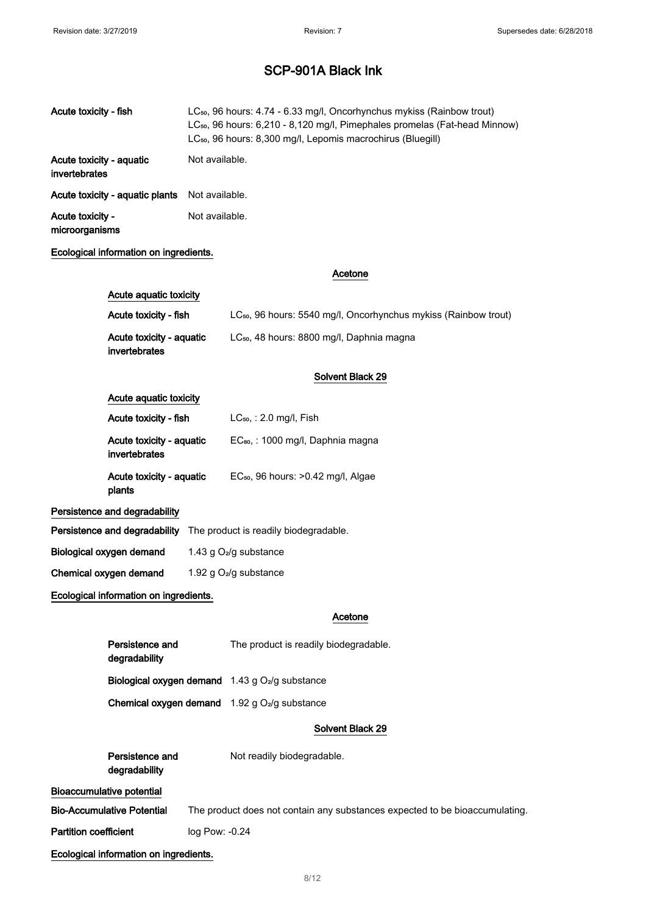| Acute toxicity - fish                     | LC <sub>50</sub> , 96 hours: 4.74 - 6.33 mg/l, Oncorhynchus mykiss (Rainbow trout)<br>LC <sub>50</sub> , 96 hours: 6,210 - 8,120 mg/l, Pimephales promelas (Fat-head Minnow)<br>LC <sub>50</sub> , 96 hours: 8,300 mg/l, Lepomis macrochirus (Bluegill) |
|-------------------------------------------|---------------------------------------------------------------------------------------------------------------------------------------------------------------------------------------------------------------------------------------------------------|
| Acute toxicity - aquatic<br>invertebrates | Not available.                                                                                                                                                                                                                                          |
| Acute toxicity - aquatic plants           | Not available.                                                                                                                                                                                                                                          |
| Acute toxicity -<br>microorganisms        | Not available.                                                                                                                                                                                                                                          |

#### Ecological information on ingredients.

| Acute aquatic toxicity                    |                                                                             |  |
|-------------------------------------------|-----------------------------------------------------------------------------|--|
| Acute toxicity - fish                     | LC <sub>50</sub> , 96 hours: 5540 mg/l, Oncorhynchus mykiss (Rainbow trout) |  |
| Acute toxicity - aquatic<br>invertebrates | LC <sub>50</sub> , 48 hours: 8800 mg/l, Daphnia magna                       |  |

#### Solvent Black 29

Acetone

#### Acute aquatic toxicity

| Acute toxicity - fish                     | $LC_{50}$ , : 2.0 mg/l, Fish                  |
|-------------------------------------------|-----------------------------------------------|
| Acute toxicity - aquatic<br>invertebrates | EC <sub>80</sub> , : 1000 mg/l, Daphnia magna |
| Acute toxicity - aquatic<br>plants        | $EC_{50}$ , 96 hours: $>0.42$ mg/l, Algae     |

#### Persistence and degradability

| Persistence and degradability The product is readily biodegradable. |
|---------------------------------------------------------------------|
|                                                                     |

| Biological oxygen demand | 1.43 g $O2/g$ substance |
|--------------------------|-------------------------|
|--------------------------|-------------------------|

Chemical oxygen demand 1.92 g O2/g substance

#### Ecological information on ingredients.

#### Acetone

| Persistence and<br>degradability                                   | The product is readily biodegradable. |
|--------------------------------------------------------------------|---------------------------------------|
| Biological oxygen demand 1.43 g O <sub>2</sub> /g substance        |                                       |
| <b>Chemical oxygen demand</b> $1.92$ g O <sub>2</sub> /g substance |                                       |

#### Solvent Black 29

| Persistence and<br>degradability       | Not readily biodegradable.                                                  |
|----------------------------------------|-----------------------------------------------------------------------------|
| Bioaccumulative potential              |                                                                             |
| <b>Bio-Accumulative Potential</b>      | The product does not contain any substances expected to be bioaccumulating. |
| <b>Partition coefficient</b>           | log Pow: -0.24                                                              |
| Ecological information on ingredients. |                                                                             |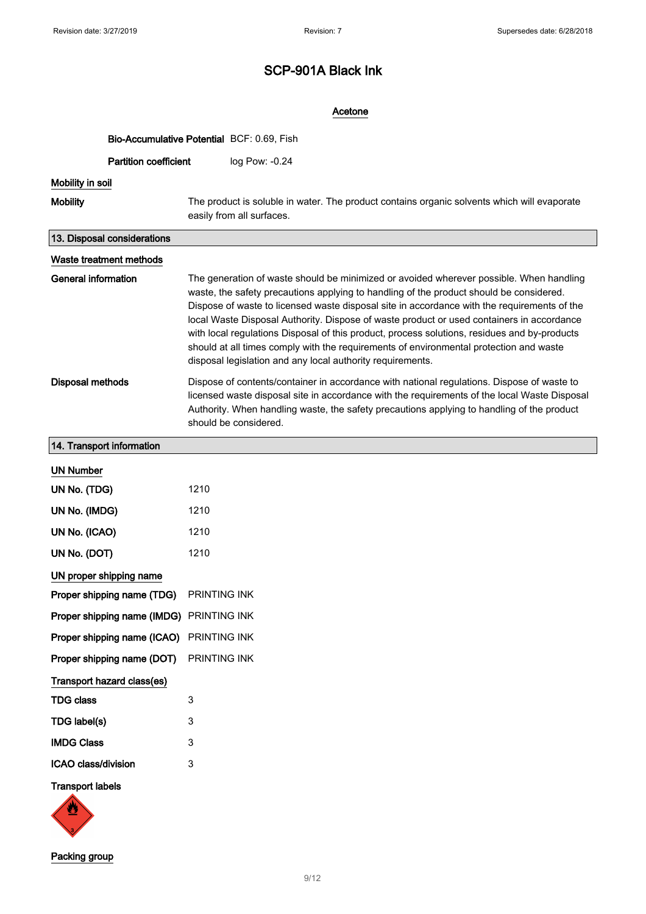| Acetone                                    |                                                                                                                                                                                                                                                                                                                                                                                                                                                                                                                                                                                                                                        |  |
|--------------------------------------------|----------------------------------------------------------------------------------------------------------------------------------------------------------------------------------------------------------------------------------------------------------------------------------------------------------------------------------------------------------------------------------------------------------------------------------------------------------------------------------------------------------------------------------------------------------------------------------------------------------------------------------------|--|
| Bio-Accumulative Potential BCF: 0.69, Fish |                                                                                                                                                                                                                                                                                                                                                                                                                                                                                                                                                                                                                                        |  |
| <b>Partition coefficient</b>               | log Pow: -0.24                                                                                                                                                                                                                                                                                                                                                                                                                                                                                                                                                                                                                         |  |
| Mobility in soil                           |                                                                                                                                                                                                                                                                                                                                                                                                                                                                                                                                                                                                                                        |  |
| <b>Mobility</b>                            | The product is soluble in water. The product contains organic solvents which will evaporate<br>easily from all surfaces.                                                                                                                                                                                                                                                                                                                                                                                                                                                                                                               |  |
| 13. Disposal considerations                |                                                                                                                                                                                                                                                                                                                                                                                                                                                                                                                                                                                                                                        |  |
| Waste treatment methods                    |                                                                                                                                                                                                                                                                                                                                                                                                                                                                                                                                                                                                                                        |  |
| <b>General information</b>                 | The generation of waste should be minimized or avoided wherever possible. When handling<br>waste, the safety precautions applying to handling of the product should be considered.<br>Dispose of waste to licensed waste disposal site in accordance with the requirements of the<br>local Waste Disposal Authority. Dispose of waste product or used containers in accordance<br>with local regulations Disposal of this product, process solutions, residues and by-products<br>should at all times comply with the requirements of environmental protection and waste<br>disposal legislation and any local authority requirements. |  |
| <b>Disposal methods</b>                    | Dispose of contents/container in accordance with national regulations. Dispose of waste to<br>licensed waste disposal site in accordance with the requirements of the local Waste Disposal<br>Authority. When handling waste, the safety precautions applying to handling of the product<br>should be considered.                                                                                                                                                                                                                                                                                                                      |  |
| 14. Transport information                  |                                                                                                                                                                                                                                                                                                                                                                                                                                                                                                                                                                                                                                        |  |
| <b>UN Number</b>                           |                                                                                                                                                                                                                                                                                                                                                                                                                                                                                                                                                                                                                                        |  |
| UN No. (TDG)                               | 1210                                                                                                                                                                                                                                                                                                                                                                                                                                                                                                                                                                                                                                   |  |
| UN No. (IMDG)                              | 1210                                                                                                                                                                                                                                                                                                                                                                                                                                                                                                                                                                                                                                   |  |
| UN No. (ICAO)                              | 1210                                                                                                                                                                                                                                                                                                                                                                                                                                                                                                                                                                                                                                   |  |
| UN No. (DOT)                               | 1210                                                                                                                                                                                                                                                                                                                                                                                                                                                                                                                                                                                                                                   |  |
| UN proper shipping name                    |                                                                                                                                                                                                                                                                                                                                                                                                                                                                                                                                                                                                                                        |  |
| Proper shipping name (TDG)                 | PRINTING INK                                                                                                                                                                                                                                                                                                                                                                                                                                                                                                                                                                                                                           |  |
| Proper shipping name (IMDG)                | PRINTING INK                                                                                                                                                                                                                                                                                                                                                                                                                                                                                                                                                                                                                           |  |
| Proper shipping name (ICAO)                | PRINTING INK                                                                                                                                                                                                                                                                                                                                                                                                                                                                                                                                                                                                                           |  |
| Proper shipping name (DOT)                 | PRINTING INK                                                                                                                                                                                                                                                                                                                                                                                                                                                                                                                                                                                                                           |  |
| Transport hazard class(es)                 |                                                                                                                                                                                                                                                                                                                                                                                                                                                                                                                                                                                                                                        |  |
| <b>TDG class</b>                           | 3                                                                                                                                                                                                                                                                                                                                                                                                                                                                                                                                                                                                                                      |  |
| TDG label(s)                               | 3                                                                                                                                                                                                                                                                                                                                                                                                                                                                                                                                                                                                                                      |  |
| <b>IMDG Class</b>                          | 3                                                                                                                                                                                                                                                                                                                                                                                                                                                                                                                                                                                                                                      |  |
| ICAO class/division                        | 3                                                                                                                                                                                                                                                                                                                                                                                                                                                                                                                                                                                                                                      |  |
| <b>Transport labels</b>                    |                                                                                                                                                                                                                                                                                                                                                                                                                                                                                                                                                                                                                                        |  |

Packing group

 $\sqrt{3}$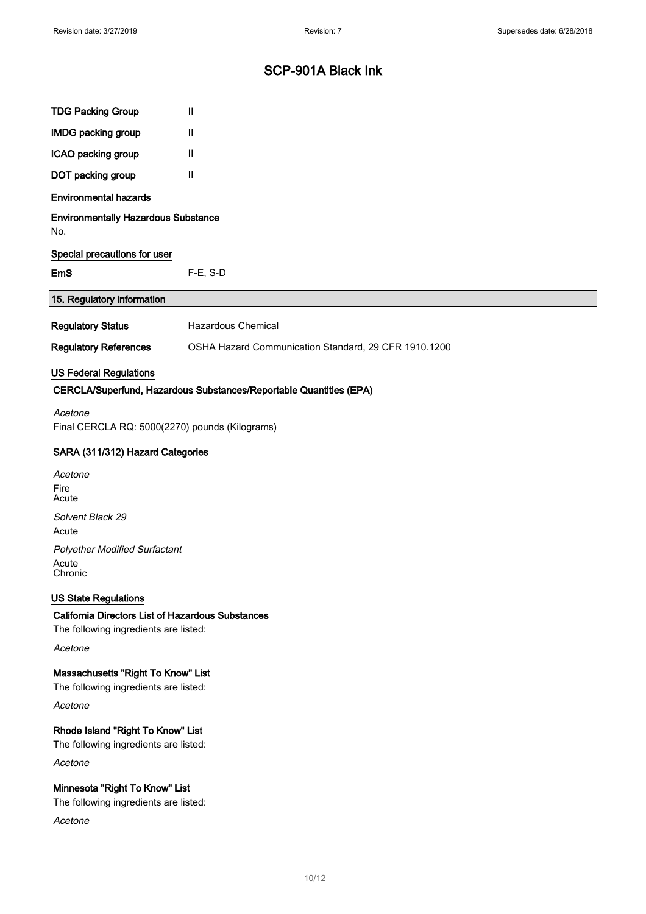| <b>TDG Packing Group</b>                                                                          | Ш                                                                  |
|---------------------------------------------------------------------------------------------------|--------------------------------------------------------------------|
| <b>IMDG packing group</b>                                                                         | Ш                                                                  |
| ICAO packing group                                                                                | $\mathbf{II}$                                                      |
| DOT packing group                                                                                 | Ш                                                                  |
| <b>Environmental hazards</b>                                                                      |                                                                    |
| <b>Environmentally Hazardous Substance</b><br>No.                                                 |                                                                    |
| Special precautions for user                                                                      |                                                                    |
| <b>EmS</b>                                                                                        | $F-E$ , S-D                                                        |
| 15. Regulatory information                                                                        |                                                                    |
| <b>Regulatory Status</b>                                                                          | Hazardous Chemical                                                 |
| <b>Regulatory References</b>                                                                      | OSHA Hazard Communication Standard, 29 CFR 1910.1200               |
| <b>US Federal Regulations</b>                                                                     |                                                                    |
|                                                                                                   | CERCLA/Superfund, Hazardous Substances/Reportable Quantities (EPA) |
| Acetone<br>Final CERCLA RQ: 5000(2270) pounds (Kilograms)                                         |                                                                    |
| SARA (311/312) Hazard Categories                                                                  |                                                                    |
| Acetone                                                                                           |                                                                    |
| Fire<br>Acute                                                                                     |                                                                    |
| Solvent Black 29<br>Acute                                                                         |                                                                    |
| <b>Polyether Modified Surfactant</b>                                                              |                                                                    |
| Acute<br>Chronic                                                                                  |                                                                    |
| <b>US State Regulations</b>                                                                       |                                                                    |
| <b>California Directors List of Hazardous Substances</b><br>The following ingredients are listed: |                                                                    |
| Acetone                                                                                           |                                                                    |
| Massachusetts "Right To Know" List<br>The following ingredients are listed:                       |                                                                    |
| Acetone                                                                                           |                                                                    |
| Rhode Island "Right To Know" List<br>The following ingredients are listed:                        |                                                                    |
| Acetone                                                                                           |                                                                    |
| Minnesota "Right To Know" List<br>The following ingredients are listed:                           |                                                                    |
| Acetone                                                                                           |                                                                    |
|                                                                                                   |                                                                    |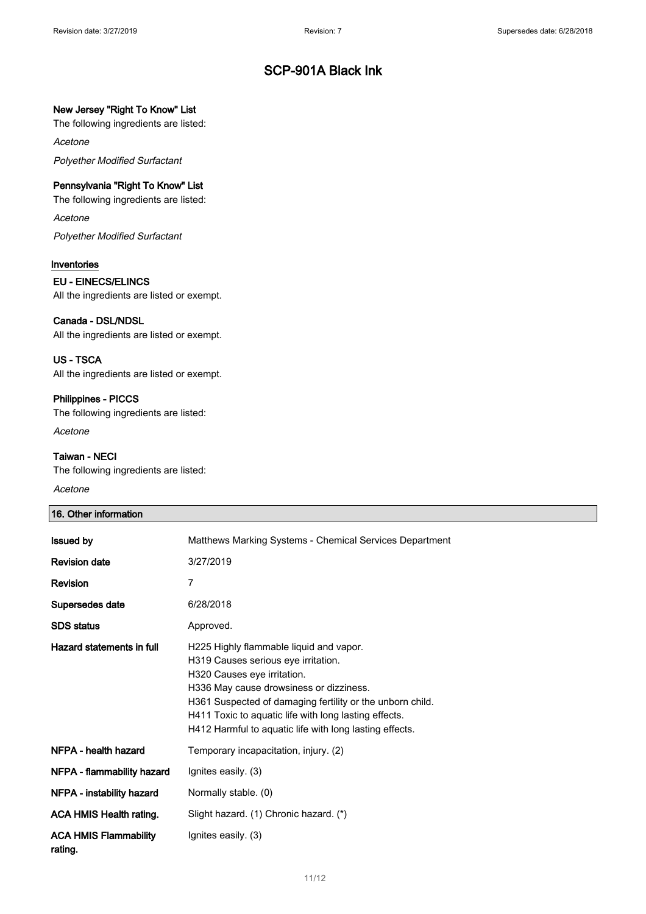#### New Jersey "Right To Know" List

The following ingredients are listed:

Acetone

Polyether Modified Surfactant

#### Pennsylvania "Right To Know" List

The following ingredients are listed:

#### Acetone

Polyether Modified Surfactant

#### Inventories

#### EU - EINECS/ELINCS

All the ingredients are listed or exempt.

#### Canada - DSL/NDSL

All the ingredients are listed or exempt.

#### US - TSCA

All the ingredients are listed or exempt.

#### Philippines - PICCS

The following ingredients are listed: Acetone

#### Taiwan - NECI

The following ingredients are listed:

#### Acetone

#### 16. Other information

| <b>Issued by</b>                        | Matthews Marking Systems - Chemical Services Department                                                                                                                                                                                                                                                                                   |
|-----------------------------------------|-------------------------------------------------------------------------------------------------------------------------------------------------------------------------------------------------------------------------------------------------------------------------------------------------------------------------------------------|
| <b>Revision date</b>                    | 3/27/2019                                                                                                                                                                                                                                                                                                                                 |
| <b>Revision</b>                         | 7                                                                                                                                                                                                                                                                                                                                         |
| Supersedes date                         | 6/28/2018                                                                                                                                                                                                                                                                                                                                 |
| <b>SDS</b> status                       | Approved.                                                                                                                                                                                                                                                                                                                                 |
| Hazard statements in full               | H225 Highly flammable liquid and vapor.<br>H319 Causes serious eye irritation.<br>H320 Causes eye irritation.<br>H336 May cause drowsiness or dizziness.<br>H361 Suspected of damaging fertility or the unborn child.<br>H411 Toxic to aquatic life with long lasting effects.<br>H412 Harmful to aquatic life with long lasting effects. |
| NFPA - health hazard                    | Temporary incapacitation, injury. (2)                                                                                                                                                                                                                                                                                                     |
| NFPA - flammability hazard              | Ignites easily. (3)                                                                                                                                                                                                                                                                                                                       |
| NFPA - instability hazard               | Normally stable. (0)                                                                                                                                                                                                                                                                                                                      |
| <b>ACA HMIS Health rating.</b>          | Slight hazard. (1) Chronic hazard. (*)                                                                                                                                                                                                                                                                                                    |
| <b>ACA HMIS Flammability</b><br>rating. | Ignites easily. (3)                                                                                                                                                                                                                                                                                                                       |